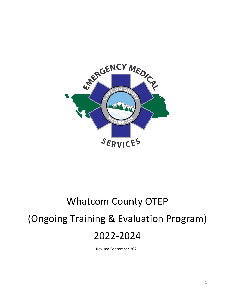

# Whatcom County OTEP (Ongoing Training & Evaluation Program) 2022-2024

Revised September 2021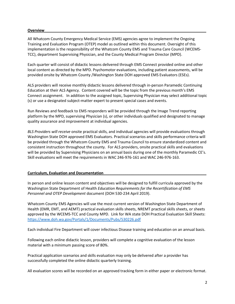#### **Overview\_\_\_\_\_\_\_\_\_\_\_\_\_\_\_\_\_\_\_\_\_\_\_\_\_\_\_\_\_\_\_\_\_\_\_\_\_\_\_\_\_\_\_\_\_\_\_\_\_\_\_\_\_\_\_\_\_\_\_\_\_\_\_\_\_\_\_\_\_\_\_\_\_\_\_\_\_**

All Whatcom County Emergency Medical Service (EMS) agencies agree to implement the Ongoing Training and Evaluation Program (OTEP) model as outlined within this document. Oversight of this implementation is the responsibility of the Whatcom County EMS and Trauma Care Council (WCEMS-TCC), department Supervising Physician, and the County Medical Program Director (MPD).

Each quarter will consist of didactic lessons delivered through EMS Connect provided online and other local content as directed by the MPD. Psychomotor evaluations, including patient assessments, will be provided onsite by Whatcom County /Washington State DOH approved EMS Evaluators (ESEs).

ALS providers will receive monthly didactic lessons delivered through in-person Paramedic Continuing Education at their ALS Agency. Content covered will be the topic from the previous month's EMS Connect assignment. In addition to the assigned topic, Supervising Physician may select additional topic (s) or use a designated subject-matter expert to present special cases and events.

Run Reviews and feedback to EMS responders will be provided through the Image Trend reporting platform by the MPD, supervising Physician (s), or other individuals qualified and designated to manage quality assurance and improvement at individual agencies.

*BLS Providers will receive* onsite practical skills, and individual agencies will provide evaluations through Washington State DOH approved EMS Evaluators. Practical scenarios and skills performance criteria will be provided through the Whatcom County EMS and Trauma Council to ensure standardized content and consistent instruction throughout the county. For ALS providers, onsite practical skills and evaluations will be provided by Supervising Physicians on an annual basis during one of the monthly Paramedic CE's. Skill evaluations will meet the requirements in WAC 246-976-161 and WAC 246-976-163.

#### **Curriculum, Evaluation and Documentation\_\_\_\_\_\_\_\_\_\_\_\_\_\_\_\_\_\_\_\_\_\_\_\_\_\_\_\_\_\_\_\_\_\_\_\_\_\_\_\_\_\_\_\_\_\_\_\_\_**

In person and online lesson content and objectives will be designed to fulfill curricula approved by the Washington State Department of Health *Education Requirements for the Recertification of EMS Personnel and OTEP Development* document (DOH 530-234 April 2019).

Whatcom County EMS Agencies will use the most current version of Washington State Department of Health (EMR, EMT, and AEMT) practical evaluation skills sheets, NREMT practical skills sheets, or sheets approved by the WCEMS-TCC and County MPD. Link for WA state DOH Practical Evaluation Skill Sheets: <https://www.doh.wa.gov/Portals/1/Documents/Pubs/530226.pdf>

Each individual Fire Department will cover infectious Disease training and education on an annual basis.

Following each online didactic lesson, providers will complete a cognitive evaluation of the lesson material with a minimum passing score of 80%.

Practical application scenarios and skills evaluation may only be delivered after a provider has successfully completed the online didactic quarterly training.

All evaluation scores will be recorded on an approved tracking form in either paper or electronic format.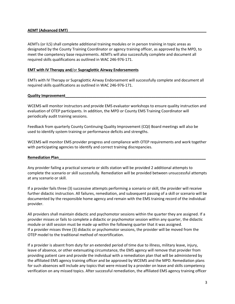#### **AEMT (Advanced EMT)\_\_\_\_\_\_\_\_\_\_\_\_\_\_\_\_\_\_\_\_\_\_\_\_\_\_\_\_\_\_\_\_\_\_\_\_\_\_\_\_\_\_\_\_\_\_\_\_\_\_\_\_\_\_\_\_\_\_\_\_\_\_\_\_\_\_**

AEMTs (or ILS) shall complete additional training modules or in person training in topic areas as designated by the County Training Coordinator or agency training officer, as approved by the MPD, to meet the competency base requirements. AEMTs will also successfully complete and document all required skills qualifications as outlined in WAC 246-976-171.

#### **EMT with IV Therapy and**/or **Supraglottic Airway Endorsements**

EMTs with IV Therapy or Supraglottic Airway Endorsement will successfully complete and document all required skills qualifications as outlined in WAC 246-976-171.

#### **Quality Improvement**

WCEMS will monitor instructors and provide EMS evaluator workshops to ensure quality instruction and evaluation of OTEP participants. In addition, the MPD or County EMS Training Coordinator will periodically audit training sessions.

Feedback from quarterly County Continuing Quality Improvement (CQI) Board meetings will also be used to identify system training or performance deficits and strengths.

WCEMS will monitor EMS provider progress and compliance with OTEP requirements and work together with participating agencies to identify and correct training discrepancies.

#### **Remediation Plan\_\_\_\_\_\_\_\_\_\_\_\_\_\_\_\_\_\_\_\_\_\_\_\_\_\_\_\_\_\_\_\_\_\_\_\_\_\_\_\_\_\_\_\_\_\_\_\_\_\_\_\_\_\_\_\_\_\_\_\_\_\_\_\_\_\_\_\_\_\_**

Any provider failing a practical scenario or skills station will be provided 2 additional attempts to complete the scenario or skill successfully. Remediation will be provided between unsuccessful attempts at any scenario or skill.

If a provider fails three (3) successive attempts performing a scenario or skill, the provider will receive further didactic instruction. All failures, remediation, and subsequent passing of a skill or scenario will be documented by the responsible home agency and remain with the EMS training record of the individual provider.

All providers shall maintain didactic and psychomotor sessions within the quarter they are assigned. If a provider misses or fails to complete a didactic or psychomotor session within any quarter, the didactic module or skill session must be made up within the following quarter that it was assigned. If a provider misses three (3) didactic or psychomotor sessions, the provider will be moved from the OTEP model to the traditional method of recertification.

If a provider is absent from duty for an extended period of time due to illness, military leave, injury, leave of absence, or other extenuating circumstance, the EMS agency will remove that provider from providing patient care and provide the individual with a remediation plan that will be administered by the affiliated EMS agency training officer and be approved by WCEMS and the MPD. Remediation plans for such absences will include any topics that were missed by a provider on leave and skills competency verification on any missed topics. After successful remediation, the affiliated EMS agency training officer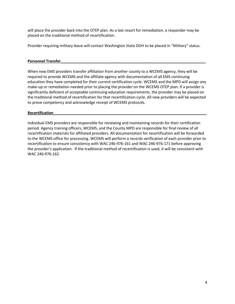will place the provider back into the OTEP plan. As a last resort for remediation, a responder may be placed on the traditional method of recertification.

Provider requiring military leave will contact Washington State DOH to be placed in "Military" status.

#### Personnel Transfer

When new EMS providers transfer affiliation from another county to a WCEMS agency, they will be required to provide WCEMS and the affiliate agency with documentation of all EMS continuing education they have completed for their current certification cycle. WCEMS and the MPD will assign any make-up or remediation needed prior to placing the provider on the WCEMS OTEP plan. If a provider is significantly deficient of acceptable continuing education requirements, the provider may be placed on the traditional method of recertification for that recertification cycle. All new providers will be expected to prove competency and acknowledge receipt of WCEMS protocols.

#### **Recertification\_\_\_\_\_\_\_\_\_\_\_\_\_\_\_\_\_\_\_\_\_\_\_\_\_\_\_\_\_\_\_\_\_\_\_\_\_\_\_\_\_\_\_\_\_\_\_\_\_\_\_\_\_\_\_\_\_\_\_\_\_\_\_\_\_\_\_\_\_\_\_\_\_**

Individual EMS providers are responsible for reviewing and maintaining records for their certification period. Agency training officers, WCEMS, and the County MPD are responsible for final review of all recertification materials for affiliated providers. All documentation for recertification will be forwarded to the WCEMS office for processing. WCEMS will perform a records verification of each provider prior to recertification to ensure consistency with WAC 246-976-161 and WAC 246-976-171 before approving the provider's application. If the traditional method of recertification is used, it will be consistent with WAC 246-976-162.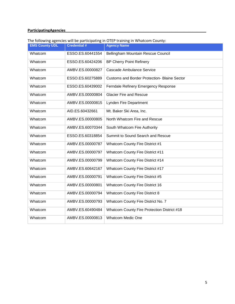### **ParticipatingAgencies\_\_\_\_\_\_\_\_\_\_\_\_\_\_\_\_\_\_\_\_\_\_\_\_\_\_\_\_\_\_\_\_\_\_\_\_\_\_\_\_\_\_\_\_\_\_\_\_\_\_\_\_\_\_\_\_\_\_\_\_\_\_\_\_\_\_\_**

#### The following agencies will be participating in OTEP training in Whatcom County:

| . <del>.</del> <del>.</del><br><b>EMS County UDL</b> | in a basic conference Orio<br><b>Credential #</b> | <b>Agency Name</b>                                  |
|------------------------------------------------------|---------------------------------------------------|-----------------------------------------------------|
| Whatcom                                              | ESSO.ES.60441554                                  | Bellingham Mountain Rescue Council                  |
| Whatcom                                              | ESSO.ES.60424206                                  | <b>BP Cherry Point Refinery</b>                     |
| Whatcom                                              | AMBV.ES.00000827                                  | <b>Cascade Ambulance Service</b>                    |
| Whatcom                                              | ESSO.ES.60275889                                  | <b>Customs and Border Protection- Blaine Sector</b> |
| Whatcom                                              | ESSO.ES.60439002                                  | Ferndale Refinery Emergency Response                |
| Whatcom                                              | AMBV.ES.00000804                                  | <b>Glacier Fire and Rescue</b>                      |
| Whatcom                                              | AMBV.ES.00000815                                  | Lynden Fire Department                              |
| Whatcom                                              | AID.ES.60432661                                   | Mt. Baker Ski Area, Inc.                            |
| Whatcom                                              | AMBV.ES.00000805                                  | North Whatcom Fire and Rescue                       |
| Whatcom                                              | AMBV.ES.60070344                                  | South Whatcom Fire Authority                        |
| Whatcom                                              | ESSO.ES.60318854                                  | Summit to Sound Search and Rescue                   |
| Whatcom                                              | AMBV.ES.00000787                                  | Whatcom County Fire District #1                     |
| Whatcom                                              | AMBV.ES.00000797                                  | Whatcom County Fire District #11                    |
| Whatcom                                              | AMBV.ES.00000799                                  | Whatcom County Fire District #14                    |
| Whatcom                                              | AMBV.ES.60642167                                  | Whatcom County Fire District #17                    |
| Whatcom                                              | AMBV.ES.00000791                                  | Whatcom County Fire District #5                     |
| Whatcom                                              | AMBV.ES.00000801                                  | <b>Whatcom County Fire District 16</b>              |
| Whatcom                                              | AMBV.ES.00000794                                  | <b>Whatcom County Fire District 8</b>               |
| Whatcom                                              | AMBV.ES.00000793                                  | Whatcom County Fire District No. 7                  |
| Whatcom                                              | AMBV.ES.60490484                                  | Whatcom County Fire Protection District #18         |
| Whatcom                                              | AMBV.ES.00000813                                  | <b>Whatcom Medic One</b>                            |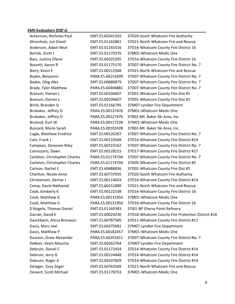# **EMS Evaluators (ESE's)\_\_\_\_\_\_\_\_\_\_\_\_\_\_\_\_\_\_\_\_\_\_\_\_\_\_\_\_\_\_\_\_\_\_\_\_\_\_\_\_\_\_\_\_\_\_\_\_\_\_\_\_\_\_\_\_\_\_\_\_\_\_\_\_\_\_**

| Ackerman, Nicholas Paul       | EMT.ES.60241592  | 37D20-South Whatcom Fire Authority                |
|-------------------------------|------------------|---------------------------------------------------|
| Ahrenholz, Jon David          | EMT.ES.01162861  | 37D21-North Whatcom Fire and Rescue               |
| Anderson, Adam Neal           | EMT.ES.01165316  | 37D16-Whatcom County Fire District 16             |
| Bartok, Scott J               | EMT.ES.01170376  | 37M01-Whatcom Medic One                           |
| Bass, Justina Eilene          | EMT.ES.60325205  | 37D16-Whatcom County Fire District 16             |
| Bassett, Aaron R              | EMT.ES.01175170  | 37D07-Whatcom County Fire District No. 7          |
| Biery, Kevin E                | EMT.ES.00112568  | 37D21-North Whatcom Fire and Rescue               |
| Boyko, Benjamin               | PARA.ES.60155699 | 37D07-Whatcom County Fire District No. 7          |
| Boyko, Oleg Alex              | EMT.ES.60680879  | 37D07-Whatcom County Fire District No. 7          |
| Brady, Tyler Matthew          | PARA.ES.60406881 | 37D07-Whatcom County Fire District No. 7          |
| Branum, Darren L              | EMT.ES.00104607  | 37D01-Whatcom County Fire Dist #1                 |
| Branum, Darren L              | EMT.ES.00104607  | 37D01-Whatcom County Fire Dist #1                 |
| Brink, Branden G              | EMT.ES.01166795  | 37M07-Lynden Fire Department                      |
| Brubaker, Jeffrey D           | PARA.ES.00127476 | 37M01-Whatcom Medic One                           |
| Brubaker, Jeffrey D           | PARA.ES.00127476 | 37R02-Mt. Baker Ski Area, Inc.                    |
| Bruland, Kurt W               | PARA.ES.00117228 | 37M01-Whatcom Medic One                           |
| Bussard, Marie Sarah          | PARA.ES.00102428 | 37R02-Mt. Baker Ski Area, Inc.                    |
| Cagle, Matthew Fredrick       | EMT.ES.00126207  | 37D07-Whatcom County Fire District No. 7          |
| Cain, Frank J                 | EMT.ES.00119568  | 37D14-Whatcom County Fire District #14            |
| Campeau, Donovan Riley        | EMT.ES.60723162  | 37D07-Whatcom County Fire District No. 7          |
| Cannizzaro, Dawn              | EMT.ES.00128515  | 37D17-Whatcom County Fire District #17            |
| Carleton, Christopher Charles | PARA.ES.01174704 | 37D07-Whatcom County Fire District No. 7          |
| Carleton, Christopher Charles | PARA.ES.01174704 | 37D05-Whatcom County Fire District #5             |
| Carlson, Rachel E             | EMT.ES.60488836  | 37D01-Whatcom County Fire Dist #1                 |
| Charlton, Nicole Anne         | EMT.ES.60737935  | 37D20-South Whatcom Fire Authority                |
| Christensen, Denise J         | EMT.ES.00114024  | 37D14-Whatcom County Fire District #14            |
| Comp, David Nathaniel         | EMT.ES.60151890  | 37D21-North Whatcom Fire and Rescue               |
| Cook, Kimberly K              | EMT.ES.00122538  | 37D16-Whatcom County Fire District 16             |
| Cook, Matthew G               | PARA.ES.00131956 | 37M01-Whatcom Medic One                           |
| Cook, Matthew G               | PARA.ES.00131956 | 37D16-Whatcom County Fire District 16             |
| D'Angelo, Thomas Daniel       | EMT.ES.01169383  | 37101-BP Cherry Point Refinery                    |
| Darrah, David E               | EMT.ES.60024230  | 37D18-Whatcom County Fire Protection District #18 |
| Daschbach, Alissa Bronwyn     | EMT.ES.60787585  | 37D11-Whatcom County Fire District #11            |
| Davis, Marc Joel              | EMT.ES.60375681  | 37M07-Lynden Fire Department                      |
| Davis, Matthew P              | PARA.ES.60182457 | 37M01-Whatcom Medic One                           |
| Davison, Drew Alexander       | PARA.ES.60291811 | 37D07-Whatcom County Fire District No. 7          |
| DeBoer, Kevin Maurice         | EMT.ES.60262764  | 37M07-Lynden Fire Department                      |
| Debruin, Daniel C             | EMT.ES.01172454  | 37D14-Whatcom County Fire District #14            |
| Debruin, Jerry G              | EMT.ES.00124448  | 37D14-Whatcom County Fire District #14            |
| Debruin, Roger A              | EMT.ES.00107829  | 37D14-Whatcom County Fire District #14            |
| DeJager, Gary Zeger           | EMT.ES.60763509  | 37D21-North Whatcom Fire and Rescue               |
| Dessert, Scott Michael        | EMT.ES.01178753  | 37M01-Whatcom Medic One                           |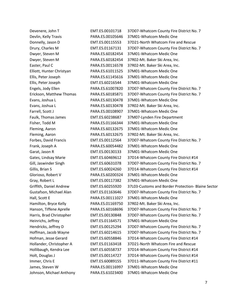| Devenere, John T          | EMT.ES.00101718  | 37D07-Whatcom County Fire District No. 7           |
|---------------------------|------------------|----------------------------------------------------|
| Devlin, Kelly Travis      | PARA.ES.00105646 | 37M01-Whatcom Medic One                            |
| Donnelly, Jason D         | EMT.ES.00115553  | 37D21-North Whatcom Fire and Rescue                |
| Drury, Charles M          | EMT.ES.01167131  | 37D07-Whatcom County Fire District No. 7           |
| Dwyer, Steven M           | PARA.ES.60182454 | 37M01-Whatcom Medic One                            |
| Dwyer, Steven M           | PARA.ES.60182454 | 37R02-Mt. Baker Ski Area, Inc.                     |
| Easter, Paul C            | PARA.ES.00116578 | 37R02-Mt. Baker Ski Area, Inc.                     |
| Elliott, Hunter Christyan | PARA.ES.61011525 | 37M01-Whatcom Medic One                            |
| Ellis, Peter Joseph       | PARA.ES.61145616 | 37M01-Whatcom Medic One                            |
| Ellis, Peter Joseph       | EMT.ES.60216544  | 37M01-Whatcom Medic One                            |
| Engels, Jody Ellen        | PARA.ES.61007820 | 37D07-Whatcom County Fire District No. 7           |
| Erickson, Matthew Thomas  | PARA.ES.60185871 | 37D07-Whatcom County Fire District No. 7           |
| Evans, Joshua L           | PARA.ES.60130478 | 37M01-Whatcom Medic One                            |
| Evans, Joshua L           | PARA.ES.60130478 | 37R02-Mt. Baker Ski Area, Inc.                     |
| Farrell, Scott J          | PARA.ES.00108907 | 37M01-Whatcom Medic One                            |
| Faulk, Thomas James       | EMT.ES.60238687  | 37M07-Lynden Fire Department                       |
| Fisher, Todd M            | PARA.ES.01166344 | 37M01-Whatcom Medic One                            |
| Fleming, Aaron            | PARA.ES.60132675 | 37M01-Whatcom Medic One                            |
| Fleming, Aaron            | PARA.ES.60132675 | 37R02-Mt. Baker Ski Area, Inc.                     |
| Forbes, David Francis     | EMT.ES.00112564  | 37D07-Whatcom County Fire District No. 7           |
| Frank, Joseph A           | PARA.ES.60054482 | 37M01-Whatcom Medic One                            |
| Garat, Jason R            | EMT.ES.00130133  | 37M01-Whatcom Medic One                            |
| Gates, Lindsay Marie      | EMT.ES.60469612  | 37D14-Whatcom County Fire District #14             |
| Gill, Jaswinder Singh     | EMT.ES.60631078  | 37D07-Whatcom County Fire District No. 7           |
| Gillis, Brian S           | EMT.ES.60024260  | 37D14-Whatcom County Fire District #14             |
| Glorioso, Robert V        | PARA.ES.60200324 | 37M01-Whatcom Medic One                            |
| Gray, Robert L            | EMT.ES.00117382  | 37M01-Whatcom Medic One                            |
| Griffith, Daniel Andrew   | EMT.ES.60255920  | 37L03-Customs and Border Protection- Blaine Sector |
| Gustafson, Michael Alan   | EMT.ES.01163646  | 37D07-Whatcom County Fire District No. 7           |
| Hall, Scott E             | PARA.ES.00111027 | 37M01-Whatcom Medic One                            |
| Hamilton, Bryce Kelly     | PARA.ES.01169750 | 37R02-Mt. Baker Ski Area, Inc.                     |
| Hanson, Tiffene Aprelle   | PARA.ES.60168696 | 37D07-Whatcom County Fire District No. 7           |
| Harris, Brad Christopher  | EMT.ES.00130848  | 37D07-Whatcom County Fire District No. 7           |
| Heinrichs, Jeffrey        | EMT.ES.01164571  | 37M01-Whatcom Medic One                            |
| Hendricks, Jeffrey D      | EMT.ES.00125294  | 37D07-Whatcom County Fire District No. 7           |
| Hoffman, Jacob Wayne      | EMT.ES.60214615  | 37D07-Whatcom County Fire District No. 7           |
| Hofman, Jesse Gerard      | EMT.ES.60558846  | 37D14-Whatcom County Fire District #14             |
| Hollander, Christopher A  | EMT.ES.01163418  | 37D21-North Whatcom Fire and Rescue                |
| Hollibaugh, Kendra Lee    | EMT.ES.60558737  | 37D14-Whatcom County Fire District #14             |
| Holt, Douglas J           | EMT.ES.00114727  | 37D14-Whatcom County Fire District #14             |
| Immer, Chris E            | EMT.ES.60089155  | 37D11-Whatcom County Fire District #11             |
| James, Steven W           | PARA.ES.00116997 | 37M01-Whatcom Medic One                            |
| Johnson, Michael Anthony  | PARA.ES.61023400 | 37M01-Whatcom Medic One                            |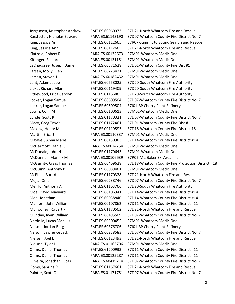| Jorgensen, Kristopher Andrew | EMT.ES.60060973  | 37D21-North Whatcom Fire and Rescue               |
|------------------------------|------------------|---------------------------------------------------|
| Karstetter, Nicholas Edward  | PARA.ES.61143190 | 37D07-Whatcom County Fire District No. 7          |
| King, Jessica Ann            | EMT.ES.00112665  | 37R07-Summit to Sound Search and Rescue           |
| King, Jessica Ann            | EMT.ES.00112665  | 37D21-North Whatcom Fire and Rescue               |
| Kintzele, Robert R           | PARA.ES.60132673 | 37M01-Whatcom Medic One                           |
| Kittinger, Richard J         | PARA.ES.00131151 | 37M01-Whatcom Medic One                           |
| LaChaussee, Joseph Daniel    | EMT.ES.60571628  | 37D01-Whatcom County Fire Dist #1                 |
| Larsen, Molly Ellen          | EMT.ES.60723421  | 37M01-Whatcom Medic One                           |
| Larsen, Steven J             | PARA.ES.60182452 | 37M01-Whatcom Medic One                           |
| Lent, Adam Jacob             | EMT.ES.60658025  | 37D20-South Whatcom Fire Authority                |
| Lipke, Richard Allan         | EMT.ES.00119409  | 37D20-South Whatcom Fire Authority                |
| Littlewood, Erica Carolyn    | EMT.ES.01166865  | 37D20-South Whatcom Fire Authority                |
| Locker, Logan Samuel         | EMT.ES.60609504  | 37D07-Whatcom County Fire District No. 7          |
| Locker, Logan Samuel         | EMT.ES.60609504  | 37I01-BP Cherry Point Refinery                    |
| Lowin, Colin M               | EMT.ES.00100613  | 37M01-Whatcom Medic One                           |
| Lunde, Scott R               | EMT.ES.01170321  | 37D07-Whatcom County Fire District No. 7          |
| Macy, Greg Travis            | EMT.ES.01172461  | 37D01-Whatcom County Fire Dist #1                 |
| Maleng, Henry M              | EMT.ES.00119593  | 37D16-Whatcom County Fire District 16             |
| Martin, Erica J              | PARA.ES.00110337 | 37M01-Whatcom Medic One                           |
| Maxwell, Anna Marie          | EMT.ES.00130983  | 37D14-Whatcom County Fire District #14            |
| McDermott, Daniel S          | PARA.ES.60024754 | 37M01-Whatcom Medic One                           |
| McDonald, John N             | EMT.ES.01170643  | 37M01-Whatcom Medic One                           |
| McDonnell, Mannix M          | PARA.ES.00106639 | 37R02-Mt. Baker Ski Area, Inc.                    |
| McGarrity, Craig Thomas      | EMT.ES.60469628  | 37D18-Whatcom County Fire Protection District #18 |
| McGuinn, Anthony B           | EMT.ES.60089461  | 37M01-Whatcom Medic One                           |
| McPhail, Burr A              | EMT.ES.01170328  | 37D21-North Whatcom Fire and Rescue               |
| Mejia, Omar                  | EMT.ES.60238746  | 37D07-Whatcom County Fire District No. 7          |
| Melillo, Anthony A           | EMT.ES.01163766  | 37D20-South Whatcom Fire Authority                |
| Moe, David Maynard           | EMT.ES.60106941  | 37D14-Whatcom County Fire District #14            |
| Moe, Jonathan L              | EMT.ES.60038840  | 37D14-Whatcom County Fire District #14            |
| Mulhern, John William        | EMT.ES.00107862  | 37D11-Whatcom County Fire District #11            |
| Mulrooney, Robert P          | EMT.ES.01170502  | 37D21-North Whatcom Fire and Rescue               |
| Munday, Ryan William         | EMT.ES.60495509  | 37D07-Whatcom County Fire District No. 7          |
| Nardella, Lucas Manlius      | EMT.ES.60500455  | 37M01-Whatcom Medic One                           |
| Nelson, Jordan Berg          | EMT.ES.60376706  | 37I01-BP Cherry Point Refinery                    |
| Nelson, Lawrence Jack        | EMT.ES.60238583  | 37D07-Whatcom County Fire District No. 7          |
| Nielsen, Joel E              | EMT.ES.00123493  | 37D21-North Whatcom Fire and Rescue               |
| Nielsen, Tyler L             | PARA.ES.01163706 | 37M01-Whatcom Medic One                           |
| Ohms, Daniel Thomas          | EMT.ES.61200933  | 37D11-Whatcom County Fire District #11            |
| Ohms, Daniel Thomas          | PARA.ES.00125287 | 37D11-Whatcom County Fire District #11            |
| Oliveira, Jonathan Lucas     | PARA.ES.60419214 | 37D07-Whatcom County Fire District No. 7          |
| Ooms, Sabrina D              | EMT.ES.01167681  | 37D21-North Whatcom Fire and Rescue               |
| Painter, Scott D             | PARA.ES.01171751 | 37D07-Whatcom County Fire District No. 7          |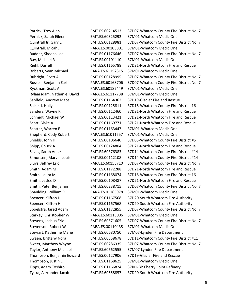| Patrick, Troy Alan          | EMT.ES.60214513  | 37D07-Whatcom County Fire District No. 7 |
|-----------------------------|------------------|------------------------------------------|
| Pernick, Sarah Eileen       | EMT.ES.60325292  | 37M01-Whatcom Medic One                  |
| Quintrall Jr, Gary E        | EMT.ES.00128981  | 37D07-Whatcom County Fire District No. 7 |
| Quintrall, Micah J          | PARA.ES.00108801 | 37M01-Whatcom Medic One                  |
| Radder, Sheena Lee          | EMT.ES.01176646  | 37D07-Whatcom County Fire District No. 7 |
| Ray, Michael R              | EMT.ES.00101110  | 37M01-Whatcom Medic One                  |
| Riehl, Darrell              | EMT.ES.01165788  | 37D21-North Whatcom Fire and Rescue      |
| Roberts, Sean Michael       | PARA.ES.61152315 | 37M01-Whatcom Medic One                  |
| Rubright, Scott A           | EMT.ES.00128995  | 37D07-Whatcom County Fire District No. 7 |
| Russell, Benjamin Earl      | PARA.ES.60168706 | 37D07-Whatcom County Fire District No. 7 |
| Ryckman, Scott A            | PARA.ES.60182449 | 37M01-Whatcom Medic One                  |
| Rylaarsdam, Nathaniel David | PARA.ES.61117738 | 37M01-Whatcom Medic One                  |
| Sahlfeld, Andrew Mace       | EMT.ES.01164362  | 37D19-Glacier Fire and Rescue            |
| Salkeld, Holly L            | EMT.ES.00125811  | 37D16-Whatcom County Fire District 16    |
| Sanders, Wayne R            | EMT.ES.00112460  | 37D21-North Whatcom Fire and Rescue      |
| Schmidt, Michael W          | EMT.ES.00113421  | 37D21-North Whatcom Fire and Rescue      |
| Scott, Blake A              | EMT.ES.01169771  | 37D21-North Whatcom Fire and Rescue      |
| Scotter, Warren E           | EMT.ES.01163447  | 37M01-Whatcom Medic One                  |
| Shepherd, Cody Robert       | PARA.ES.61011557 | 37M01-Whatcom Medic One                  |
| Shields, John H             | EMT.ES.00106640  | 37D05-Whatcom County Fire District #5    |
| Shipp, Chuck A              | EMT.ES.00124804  | 37D21-North Whatcom Fire and Rescue      |
| Silvas, Sarah Anne          | EMT.ES.60376383  | 37D14-Whatcom County Fire District #14   |
| Simonsen, Marvin Louis      | EMT.ES.00112108  | 37D14-Whatcom County Fire District #14   |
| Sluys, Jeffrey Eric         | PARA.ES.60155710 | 37D07-Whatcom County Fire District No. 7 |
| Smith, Adam M               | EMT.ES.01172288  | 37D21-North Whatcom Fire and Rescue      |
| Smith, Laura M              | EMT.ES.01168074  | 37D16-Whatcom County Fire District 16    |
| Smith, Leslee D             | EMT.ES.00108487  | 37D21-North Whatcom Fire and Rescue      |
| Smith, Peter Benjamin       | EMT.ES.60238715  | 37D07-Whatcom County Fire District No. 7 |
| Spaulding, William R        | PARA.ES.01165978 | 37M01-Whatcom Medic One                  |
| Spencer, Klifton H          | EMT.ES.01167568  | 37D20-South Whatcom Fire Authority       |
| Spencer, Klifton H          | EMT.ES.01167568  | 37D20-South Whatcom Fire Authority       |
| Spoelstra, Jared Adam       | EMT.ES.01172855  | 37D07-Whatcom County Fire District No. 7 |
| Starkey, Christopher W      | PARA.ES.60113006 | 37M01-Whatcom Medic One                  |
| Stevens, Joshua Eric        | EMT.ES.60571605  | 37D07-Whatcom County Fire District No. 7 |
| Stevenson, Robert W         | PARA.ES.00110435 | 37M01-Whatcom Medic One                  |
| Stewart, Katherine Marie    | EMT.ES.60680750  | 37M07-Lynden Fire Department             |
| Swaen, Brittany Nora        | EMT.ES.60558678  | 37D11-Whatcom County Fire District #11   |
| Sweet, Matthew Wayne        | EMT.ES.60286335  | 37D07-Whatcom County Fire District No. 7 |
| Taylor, Anthony Michael     | EMT.ES.60662555  | 37M07-Lynden Fire Department             |
| Thompson, Benjamin Edward   | EMT.ES.00127906  | 37D19-Glacier Fire and Rescue            |
| Thompson, Justin L          | EMT.ES.01168625  | 37M01-Whatcom Medic One                  |
| Tipps, Adam Toshiro         | EMT.ES.01166824  | 37I01-BP Cherry Point Refinery           |
| Tyska, Alexander Jacob      | EMT.ES.60558857  | 37D20-South Whatcom Fire Authority       |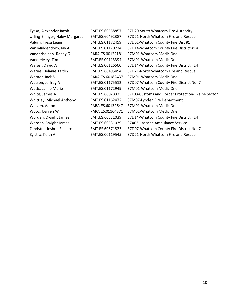| Tyska, Alexander Jacob         | EMT.ES.60558857  | 37D20-South Whatcom Fire Authority                 |
|--------------------------------|------------------|----------------------------------------------------|
| Urling-Ehinger, Haley Margaret | EMT.ES.60492387  | 37D21-North Whatcom Fire and Rescue                |
| Valum, Tresa Leann             | EMT.ES.01172459  | 37D01-Whatcom County Fire Dist #1                  |
| Van Middendorp, Jay A          | EMT.ES.01170774  | 37D14-Whatcom County Fire District #14             |
| Vanderheiden, Randy G          | PARA.ES.00122181 | 37M01-Whatcom Medic One                            |
| VanderMey, Tim J               | EMT.ES.00113394  | 37M01-Whatcom Medic One                            |
| Walser, David A                | EMT.ES.00116560  | 37D14-Whatcom County Fire District #14             |
| Warne, Delanie Kaitlin         | EMT.ES.60495454  | 37D21-North Whatcom Fire and Rescue                |
| Warner, Jack S                 | PARA.ES.60182437 | 37M01-Whatcom Medic One                            |
| Watson, Jeffrey A              | EMT.ES.01175512  | 37D07-Whatcom County Fire District No. 7           |
| Watts, Jamie Marie             | EMT.ES.01172949  | 37M01-Whatcom Medic One                            |
| White, James A                 | EMT.ES.60028375  | 37L03-Customs and Border Protection- Blaine Sector |
| Whittley, Michael Anthony      | EMT.ES.01162472  | 37M07-Lynden Fire Department                       |
| Wolven, Aaron J                | PARA.ES.60132647 | 37M01-Whatcom Medic One                            |
| Wood, Darren W                 | PARA.ES.01164371 | 37M01-Whatcom Medic One                            |
| Worden, Dwight James           | EMT.ES.60531039  | 37D14-Whatcom County Fire District #14             |
| Worden, Dwight James           | EMT.ES.60531039  | 37X02-Cascade Ambulance Service                    |
| Zandstra, Joshua Richard       | EMT.ES.60571823  | 37D07-Whatcom County Fire District No. 7           |
| Zylstra, Keith A               | EMT.ES.00119545  | 37D21-North Whatcom Fire and Rescue                |
|                                |                  |                                                    |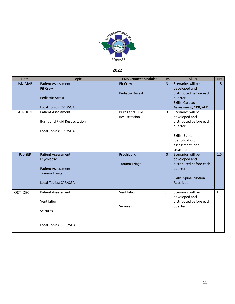

# **2022**

| Date           | <b>Topic</b>                                                                                                             | <b>EMS Connect Modules</b>                 | <b>Hrs</b>     | <b>Skills</b>                                                                                                                                | <b>Hrs</b> |
|----------------|--------------------------------------------------------------------------------------------------------------------------|--------------------------------------------|----------------|----------------------------------------------------------------------------------------------------------------------------------------------|------------|
| <b>JAN-MAR</b> | <b>Patient Assessment:</b><br>Pit Crew<br><b>Pediatric Arrest</b><br>Local Topics: CPR/SGA                               | <b>Pit Crew</b><br><b>Pediatric Arrest</b> | $\overline{3}$ | Scenarios will be<br>developed and<br>distributed before each<br>quarter<br>Skills: Cardiac<br>Assessment, CPR, AED                          | 1.5        |
| APR-JUN        | <b>Patient Assessment</b><br><b>Burns and Fluid Resuscitation</b><br>Local Topics: CPR/SGA                               | <b>Burns and Fluid</b><br>Resuscitation    | 3              | Scenarios will be<br>developed and<br>distributed before each<br>quarter<br>Skills: Burns<br>identification,<br>assessment, and<br>treatment |            |
| <b>JUL-SEP</b> | <b>Patient Assessment:</b><br>Psychiatric<br><b>Patient Assessment:</b><br><b>Trauma Triage</b><br>Local Topics: CPR/SGA | Psychiatric<br><b>Trauma Triage</b>        | $\overline{3}$ | Scenarios will be<br>developed and<br>distributed before each<br>quarter<br><b>Skills: Spinal Motion</b><br>Restriction                      | 1.5        |
| OCT-DEC        | <b>Patient Assessment</b><br>Ventilation<br><b>Seizures</b><br>Local Topics: CPR/SGA                                     | Ventilation<br>Seizures                    | 3              | Scenarios will be<br>developed and<br>distributed before each<br>quarter                                                                     | 1.5        |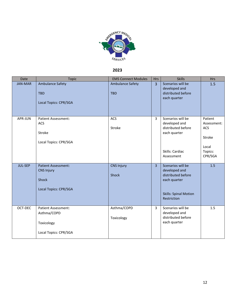

# **2023**

| Date           | <b>Topic</b>                                                                             | <b>EMS Connect Modules</b>            | <b>Hrs</b>     | <b>Skills</b>                                                                                                           | <b>Hrs</b>                                                                    |
|----------------|------------------------------------------------------------------------------------------|---------------------------------------|----------------|-------------------------------------------------------------------------------------------------------------------------|-------------------------------------------------------------------------------|
| <b>JAN-MAR</b> | <b>Ambulance Safety</b><br><b>TBD</b><br>Local Topics: CPR/SGA                           | <b>Ambulance Safety</b><br><b>TBD</b> | $\overline{3}$ | Scenarios will be<br>developed and<br>distributed before<br>each quarter                                                | 1.5                                                                           |
| APR-JUN        | Patient Assessment:<br>ACS<br>Stroke<br>Local Topics: CPR/SGA                            | ACS<br>Stroke                         | 3              | Scenarios will be<br>developed and<br>distributed before<br>each quarter<br>Skills: Cardiac<br>Assessment               | Patient<br>Assessment:<br><b>ACS</b><br>Stroke<br>Local<br>Topics:<br>CPR/SGA |
| <b>JUL-SEP</b> | <b>Patient Assessment:</b><br><b>CNS Injury</b><br><b>Shock</b><br>Local Topics: CPR/SGA | <b>CNS Injury</b><br>Shock            | $\overline{3}$ | Scenarios will be<br>developed and<br>distributed before<br>each quarter<br><b>Skills: Spinal Motion</b><br>Restriction | 1.5                                                                           |
| OCT-DEC        | <b>Patient Assessment:</b><br>Asthma/COPD<br>Toxicology<br>Local Topics: CPR/SGA         | Asthma/COPD<br>Toxicology             | 3              | Scenarios will be<br>developed and<br>distributed before<br>each quarter                                                | 1.5                                                                           |